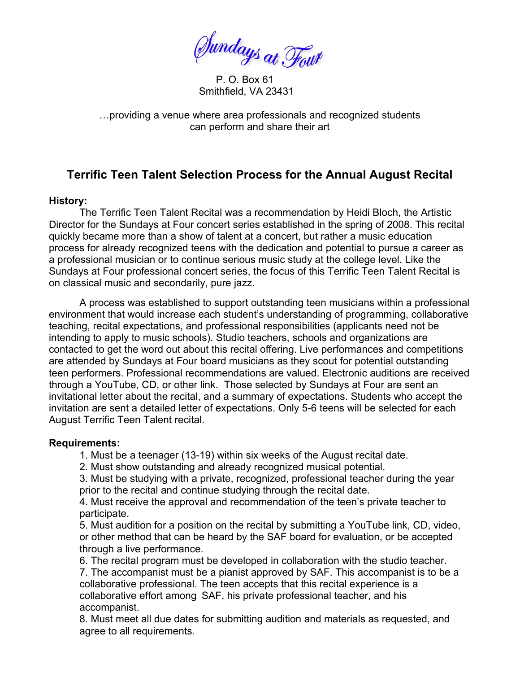Sundays at Four

 P. O. Box 61 Smithfield, VA 23431

…providing a venue where area professionals and recognized students can perform and share their art

## **Terrific Teen Talent Selection Process for the Annual August Recital**

## **History:**

 The Terrific Teen Talent Recital was a recommendation by Heidi Bloch, the Artistic Director for the Sundays at Four concert series established in the spring of 2008. This recital quickly became more than a show of talent at a concert, but rather a music education process for already recognized teens with the dedication and potential to pursue a career as a professional musician or to continue serious music study at the college level. Like the Sundays at Four professional concert series, the focus of this Terrific Teen Talent Recital is on classical music and secondarily, pure jazz.

A process was established to support outstanding teen musicians within a professional environment that would increase each student's understanding of programming, collaborative teaching, recital expectations, and professional responsibilities (applicants need not be intending to apply to music schools). Studio teachers, schools and organizations are contacted to get the word out about this recital offering. Live performances and competitions are attended by Sundays at Four board musicians as they scout for potential outstanding teen performers. Professional recommendations are valued. Electronic auditions are received through a YouTube, CD, or other link. Those selected by Sundays at Four are sent an invitational letter about the recital, and a summary of expectations. Students who accept the invitation are sent a detailed letter of expectations. Only 5-6 teens will be selected for each August Terrific Teen Talent recital.

## **Requirements:**

1. Must be a teenager (13-19) within six weeks of the August recital date.

2. Must show outstanding and already recognized musical potential.

 3. Must be studying with a private, recognized, professional teacher during the year prior to the recital and continue studying through the recital date.

 4. Must receive the approval and recommendation of the teen's private teacher to participate.

5. Must audition for a position on the recital by submitting a YouTube link, CD, video, or other method that can be heard by the SAF board for evaluation, or be accepted through a live performance.

6. The recital program must be developed in collaboration with the studio teacher. 7. The accompanist must be a pianist approved by SAF. This accompanist is to be a collaborative professional. The teen accepts that this recital experience is a collaborative effort among SAF, his private professional teacher, and his accompanist.

 8. Must meet all due dates for submitting audition and materials as requested, and agree to all requirements.